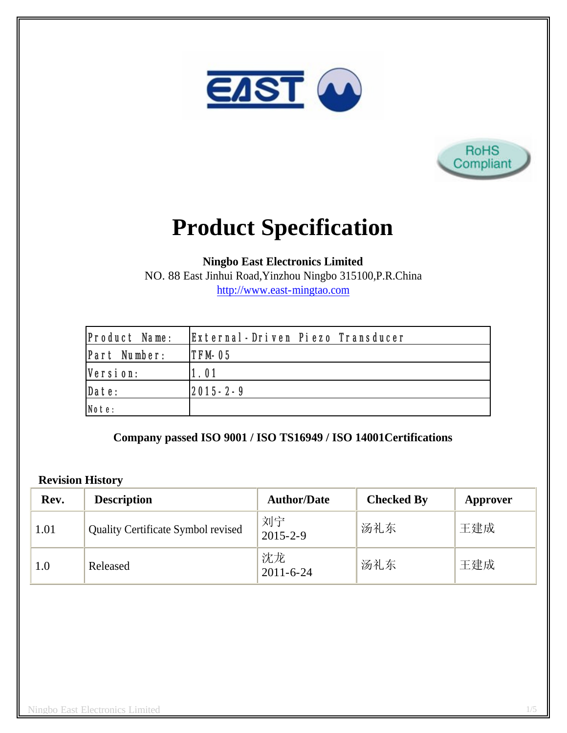



# **Product Specification**

**Ningbo East Electronics Limited**

NO. 88 East Jinhui Road,Yinzhou Ningbo 315100,P.R.China http://www.east-mingtao.com

| <b>Product Name:</b> | External-Driven Piezo Transducer |
|----------------------|----------------------------------|
| Part Number:         | ITFM-05                          |
| Version:             | 1.01                             |
| Date:                | $ 2015 - 2 - 9 $                 |
| Note:                |                                  |

**Company passed ISO 9001 / ISO TS16949 / ISO 14001Certifications**

## **Revision History**

| Rev. | <b>Description</b>                        | <b>Author/Date</b>    | <b>Checked By</b> | Approver |
|------|-------------------------------------------|-----------------------|-------------------|----------|
| 1.01 | <b>Quality Certificate Symbol revised</b> | 刘宁<br>$2015 - 2 - 9$  | 汤礼东               | 王建成      |
| 1.0  | Released                                  | 沈龙<br>$2011 - 6 - 24$ | 汤礼东               | 王建成      |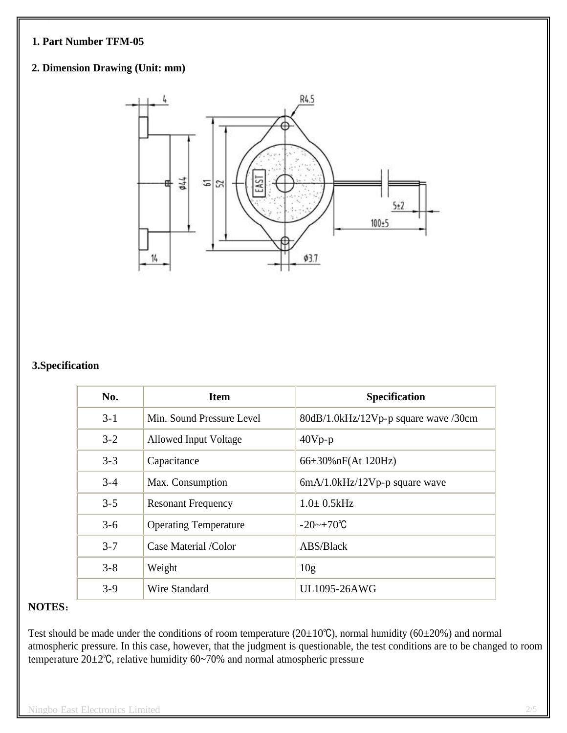## **1. Part Number TFM-05**

# **2. Dimension Drawing (Unit: mm)**



#### **3.Specification**

| No.     | <b>Item</b>                  | <b>Specification</b>                 |
|---------|------------------------------|--------------------------------------|
| $3 - 1$ | Min. Sound Pressure Level    | 80dB/1.0kHz/12Vp-p square wave /30cm |
| $3 - 2$ | Allowed Input Voltage        | $40Vp-p$                             |
| $3 - 3$ | Capacitance                  | $66\pm30\%$ nF(At 120Hz)             |
| $3 - 4$ | Max. Consumption             | $6mA/1.0kHz/12Vp-p$ square wave      |
| $3 - 5$ | <b>Resonant Frequency</b>    | $1.0 \pm 0.5$ kHz                    |
| $3 - 6$ | <b>Operating Temperature</b> | $-20$ ~ $+70^{\circ}$ C              |
| $3 - 7$ | Case Material /Color         | ABS/Black                            |
| $3 - 8$ | Weight                       | 10g                                  |
| $3-9$   | Wire Standard                | UL1095-26AWG                         |

#### **NOTES**:

Test should be made under the conditions of room temperature ( $20\pm10^{\circ}$ C), normal humidity ( $60\pm20$ %) and normal atmospheric pressure. In this case, however, that the judgment is questionable, the test conditions are to be changed to room temperature 20±2℃, relative humidity 60~70% and normal atmospheric pressure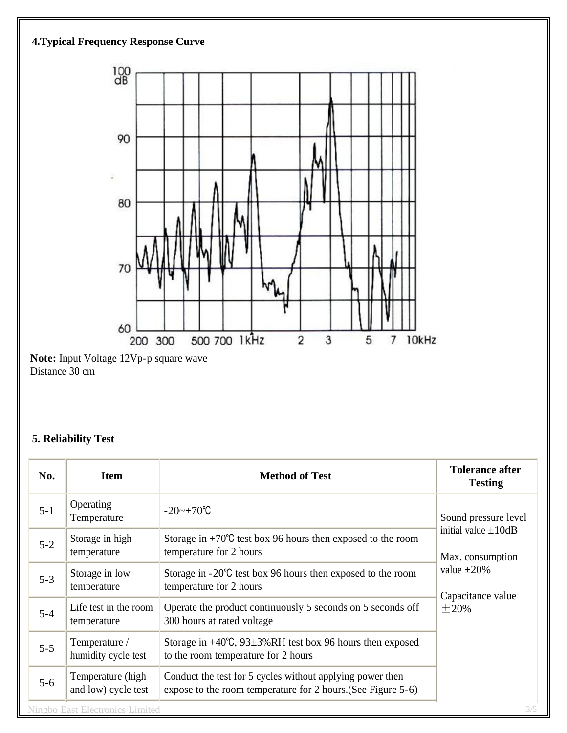

Distance 30 cm

# **5. Reliability Test**

| No.     | <b>Item</b>                              | <b>Method of Test</b>                                                                                                     | <b>Tolerance after</b><br><b>Testing</b>                                                             |
|---------|------------------------------------------|---------------------------------------------------------------------------------------------------------------------------|------------------------------------------------------------------------------------------------------|
| $5 - 1$ | Operating<br>Temperature                 | $-20$ ~ $+70^{\circ}$ C                                                                                                   | Sound pressure level                                                                                 |
| $5 - 2$ | Storage in high<br>temperature           | Storage in $+70^{\circ}$ C test box 96 hours then exposed to the room<br>temperature for 2 hours                          | initial value $\pm 10$ dB<br>Max. consumption<br>value $\pm 20\%$<br>Capacitance value<br>$\pm 20\%$ |
| $5 - 3$ | Storage in low<br>temperature            | Storage in $-20^{\circ}$ C test box 96 hours then exposed to the room<br>temperature for 2 hours                          |                                                                                                      |
| $5 - 4$ | Life test in the room<br>temperature     | Operate the product continuously 5 seconds on 5 seconds off<br>300 hours at rated voltage                                 |                                                                                                      |
| $5 - 5$ | Temperature /<br>humidity cycle test     | Storage in $+40^{\circ}$ C, 93 $\pm$ 3%RH test box 96 hours then exposed<br>to the room temperature for 2 hours           |                                                                                                      |
| $5 - 6$ | Temperature (high<br>and low) cycle test | Conduct the test for 5 cycles without applying power then<br>expose to the room temperature for 2 hours. (See Figure 5-6) |                                                                                                      |
|         | <b>Ningbo East Electronics Limited</b>   |                                                                                                                           | 3/5                                                                                                  |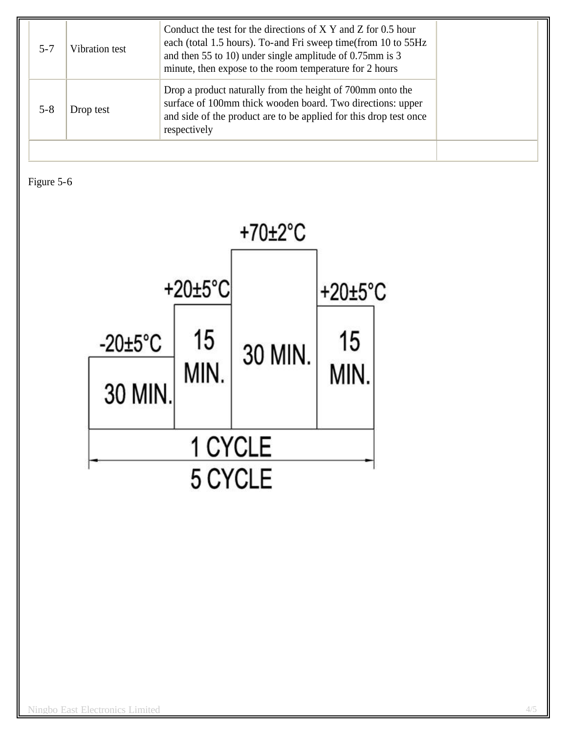| Drop a product naturally from the height of 700mm onto the<br>surface of 100mm thick wooden board. Two directions: upper<br>$5 - 8$<br>Drop test<br>and side of the product are to be applied for this drop test once<br>respectively | $5 - 7$ | Vibration test | Conduct the test for the directions of X Y and Z for 0.5 hour<br>each (total 1.5 hours). To-and Fri sweep time(from 10 to 55Hz<br>and then 55 to 10) under single amplitude of 0.75mm is 3<br>minute, then expose to the room temperature for 2 hours |
|---------------------------------------------------------------------------------------------------------------------------------------------------------------------------------------------------------------------------------------|---------|----------------|-------------------------------------------------------------------------------------------------------------------------------------------------------------------------------------------------------------------------------------------------------|
|                                                                                                                                                                                                                                       |         |                |                                                                                                                                                                                                                                                       |

Figure 5-6